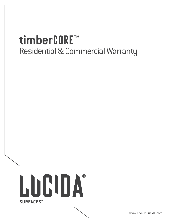# timberCORE™ Residential & Commercial Warranty



www.LiveOnLucida.com